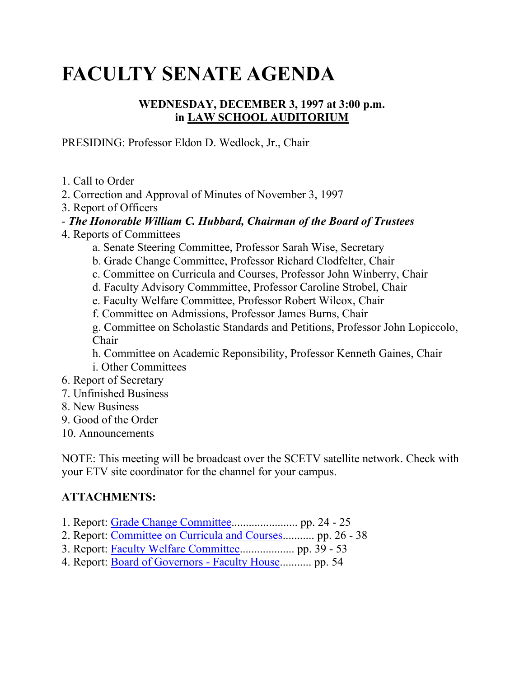# **FACULTY SENATE AGENDA**

## **WEDNESDAY, DECEMBER 3, 1997 at 3:00 p.m. in LAW SCHOOL AUDITORIUM**

PRESIDING: Professor Eldon D. Wedlock, Jr., Chair

- 1. Call to Order
- 2. Correction and Approval of Minutes of November 3, 1997
- 3. Report of Officers
- *The Honorable William C. Hubbard, Chairman of the Board of Trustees*
- 4. Reports of Committees
	- a. Senate Steering Committee, Professor Sarah Wise, Secretary
	- b. Grade Change Committee, Professor Richard Clodfelter, Chair
	- c. Committee on Curricula and Courses, Professor John Winberry, Chair
	- d. Faculty Advisory Commmittee, Professor Caroline Strobel, Chair
	- e. Faculty Welfare Committee, Professor Robert Wilcox, Chair
	- f. Committee on Admissions, Professor James Burns, Chair

g. Committee on Scholastic Standards and Petitions, Professor John Lopiccolo, Chair

h. Committee on Academic Reponsibility, Professor Kenneth Gaines, Chair i. Other Committees

- 6. Report of Secretary
- 7. Unfinished Business
- 8. New Business
- 9. Good of the Order
- 10. Announcements

NOTE: This meeting will be broadcast over the SCETV satellite network. Check with your ETV site coordinator for the channel for your campus.

## **ATTACHMENTS:**

- 1. Report: [Grade Change Committee.](http://radon.qa.sc.edu/wwwarchives/faculty/senate/97/agenda/1203.gc.html)...................... pp. 24 25
- 2. Report: [Committee on Curricula and Courses.](http://radon.qa.sc.edu/wwwarchives/faculty/senate/97/agenda/1203.cc.html).......... pp. 26 38
- 3. Report: [Faculty Welfare Committee.](http://radon.qa.sc.edu/wwwarchives/faculty/senate/97/agenda/1203.wc.html).................. pp. 39 53
- 4. Report: [Board of Governors -](http://radon.qa.sc.edu/wwwarchives/faculty/senate/97/agenda/1203.bg.html) Faculty House........... pp. 54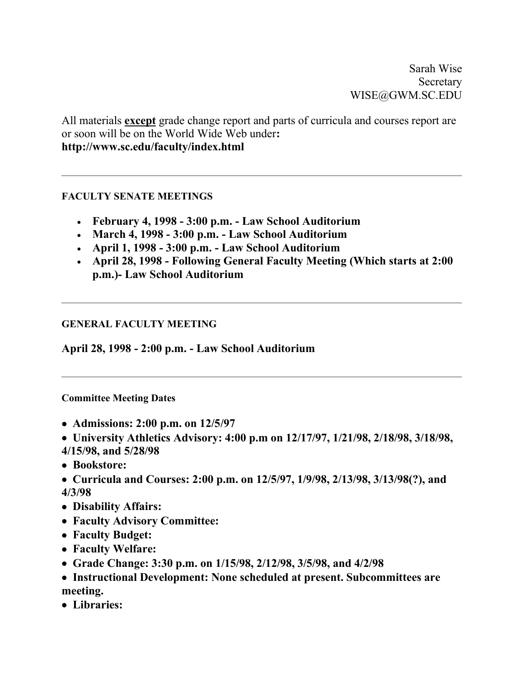Sarah Wise Secretary WISE@GWM.SC.EDU

All materials **except** grade change report and parts of curricula and courses report are or soon will be on the World Wide Web under**: http://www.sc.edu/faculty/index.html**

### **FACULTY SENATE MEETINGS**

- **February 4, 1998 - 3:00 p.m. - Law School Auditorium**
- **March 4, 1998 - 3:00 p.m. - Law School Auditorium**
- **April 1, 1998 - 3:00 p.m. - Law School Auditorium**
- **April 28, 1998 - Following General Faculty Meeting (Which starts at 2:00 p.m.)- Law School Auditorium**

### **GENERAL FACULTY MEETING**

**April 28, 1998 - 2:00 p.m. - Law School Auditorium**

#### **Committee Meeting Dates**

- • **Admissions: 2:00 p.m. on 12/5/97**
- • **University Athletics Advisory: 4:00 p.m on 12/17/97, 1/21/98, 2/18/98, 3/18/98,**
- **4/15/98, and 5/28/98**
- • **Bookstore:**
- • **Curricula and Courses: 2:00 p.m. on 12/5/97, 1/9/98, 2/13/98, 3/13/98(?), and 4/3/98**
- • **Disability Affairs:**
- • **Faculty Advisory Committee:**
- • **Faculty Budget:**
- • **Faculty Welfare:**
- • **Grade Change: 3:30 p.m. on 1/15/98, 2/12/98, 3/5/98, and 4/2/98**
- • **Instructional Development: None scheduled at present. Subcommittees are meeting.**
- • **Libraries:**